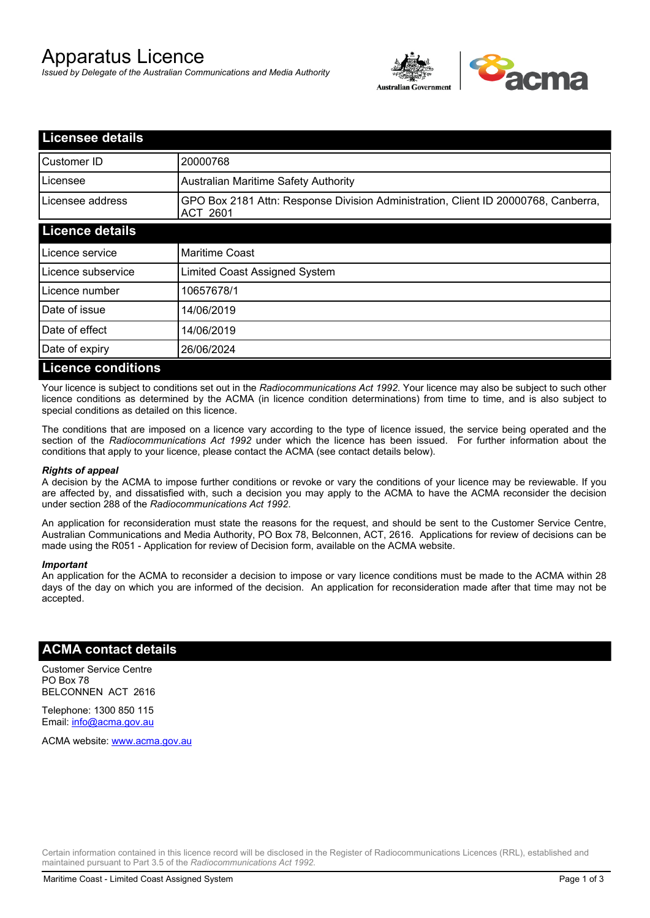# Apparatus Licence

*Issued by Delegate of the Australian Communications and Media Authority*



| <b>Licensee details</b>   |                                                                                                |
|---------------------------|------------------------------------------------------------------------------------------------|
| Customer ID               | 20000768                                                                                       |
| Licensee                  | <b>Australian Maritime Safety Authority</b>                                                    |
| Licensee address          | GPO Box 2181 Attn: Response Division Administration, Client ID 20000768, Canberra,<br>ACT 2601 |
| <b>Licence details</b>    |                                                                                                |
| Licence service           | <b>Maritime Coast</b>                                                                          |
| Licence subservice        | Limited Coast Assigned System                                                                  |
| Licence number            | 10657678/1                                                                                     |
| Date of issue             | 14/06/2019                                                                                     |
| Date of effect            | 14/06/2019                                                                                     |
| Date of expiry            | 26/06/2024                                                                                     |
| <b>Licence conditions</b> |                                                                                                |

Your licence is subject to conditions set out in the *Radiocommunications Act 1992*. Your licence may also be subject to such other licence conditions as determined by the ACMA (in licence condition determinations) from time to time, and is also subject to special conditions as detailed on this licence.

The conditions that are imposed on a licence vary according to the type of licence issued, the service being operated and the section of the *Radiocommunications Act 1992* under which the licence has been issued. For further information about the conditions that apply to your licence, please contact the ACMA (see contact details below).

#### *Rights of appeal*

A decision by the ACMA to impose further conditions or revoke or vary the conditions of your licence may be reviewable. If you are affected by, and dissatisfied with, such a decision you may apply to the ACMA to have the ACMA reconsider the decision under section 288 of the *Radiocommunications Act 1992*.

An application for reconsideration must state the reasons for the request, and should be sent to the Customer Service Centre, Australian Communications and Media Authority, PO Box 78, Belconnen, ACT, 2616. Applications for review of decisions can be made using the R051 - Application for review of Decision form, available on the ACMA website.

#### *Important*

An application for the ACMA to reconsider a decision to impose or vary licence conditions must be made to the ACMA within 28 days of the day on which you are informed of the decision. An application for reconsideration made after that time may not be accepted.

### **ACMA contact details**

Customer Service Centre PO Box 78 BELCONNEN ACT 2616

Telephone: 1300 850 115 Email: info@acma.gov.au

ACMA website: www.acma.gov.au

Certain information contained in this licence record will be disclosed in the Register of Radiocommunications Licences (RRL), established and maintained pursuant to Part 3.5 of the *Radiocommunications Act 1992.*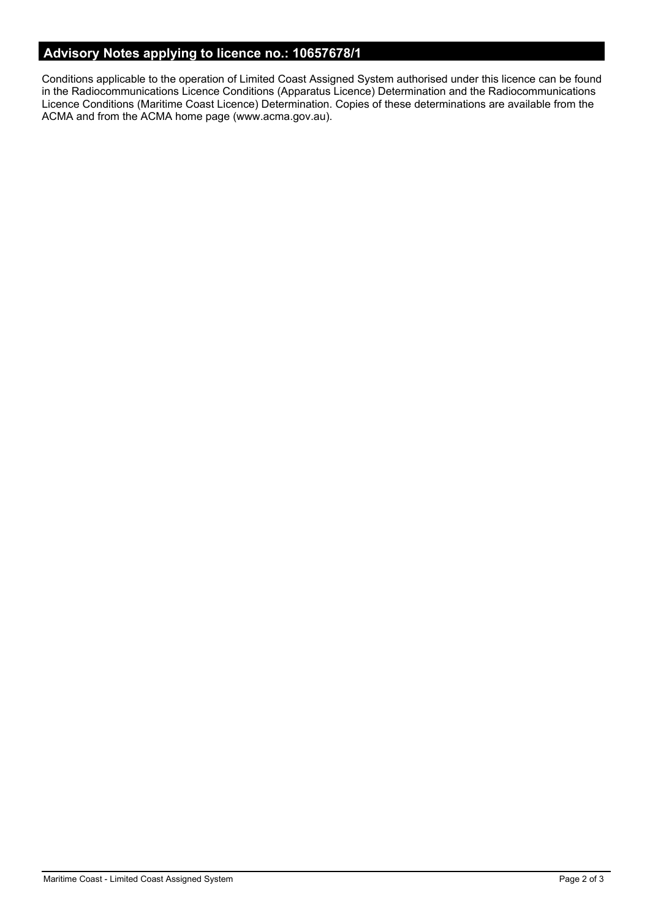# **Advisory Notes applying to licence no.: 10657678/1**

Conditions applicable to the operation of Limited Coast Assigned System authorised under this licence can be found in the Radiocommunications Licence Conditions (Apparatus Licence) Determination and the Radiocommunications Licence Conditions (Maritime Coast Licence) Determination. Copies of these determinations are available from the ACMA and from the ACMA home page (www.acma.gov.au).